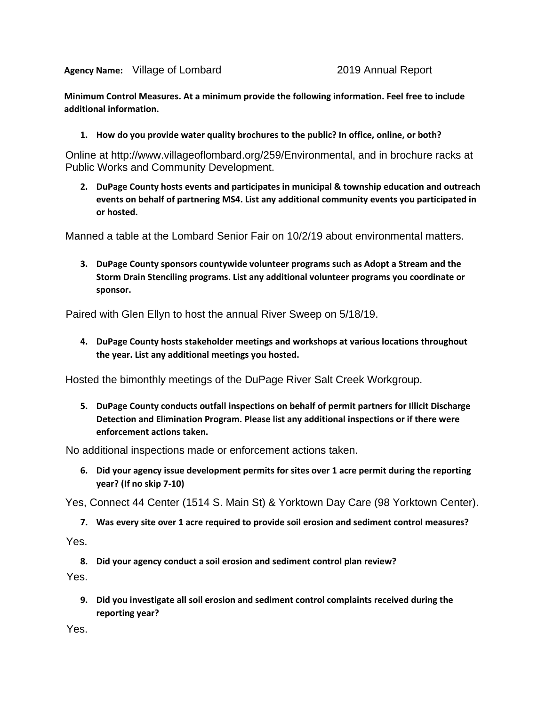**Agency Name:**

**Minimum Control Measures. At a minimum provide the following information. Feel free to include additional information.**

**1. How do you provide water quality brochures to the public? In office, online, or both?**

Online at http://www.villageoflombard.org/259/Environmental, and in brochure racks at Public Works and Community Development.

**2. DuPage County hosts events and participates in municipal & township education and outreach events on behalf of partnering MS4. List any additional community events you participated in or hosted.** 

Manned a table at the Lombard Senior Fair on 10/2/19 about environmental matters.

**3. DuPage County sponsors countywide volunteer programs such as Adopt a Stream and the Storm Drain Stenciling programs. List any additional volunteer programs you coordinate or sponsor.**

Paired with Glen Ellyn to host the annual River Sweep on 5/18/19.

**4. DuPage County hosts stakeholder meetings and workshops at various locations throughout the year. List any additional meetings you hosted.**

Hosted the bimonthly meetings of the DuPage River Salt Creek Workgroup.

**5. DuPage County conducts outfall inspections on behalf of permit partners for Illicit Discharge Detection and Elimination Program. Please list any additional inspections or if there were enforcement actions taken.** Sency Name: Village of Lombard<br>
2019 Annual Report<br>
2019 Annual Report<br>
2019 Annual Report<br>
2019 Annual Report<br>
2016 Motions and Information.<br>
1. How do you provide water quality brochures to the public? In office, online

No additional inspections made or enforcement actions taken.

**6. Did your agency issue development permits for sites over 1 acre permit during the reporting year? (If no skip 7-10)**

Yes, Connect 44 Center (1514 S. Main St) & Yorktown Day Care (98 Yorktown Center).

**7. Was every site over 1 acre required to provide soil erosion and sediment control measures?** 

Yes.

**8. Did your agency conduct a soil erosion and sediment control plan review?**

Yes.

**9. Did you investigate all soil erosion and sediment control complaints received during the reporting year?**